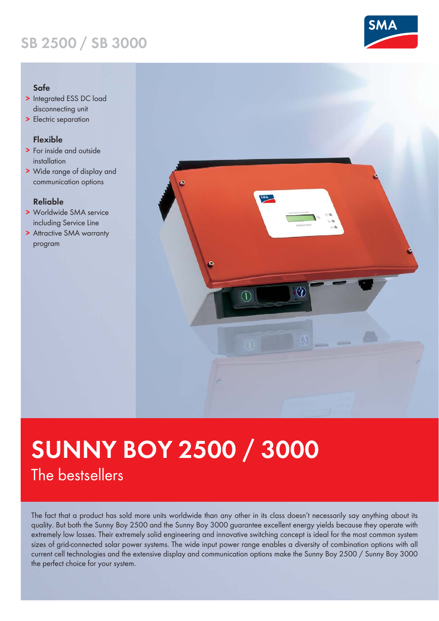## **SB 2500 / SB 3000**

#### **Safe**

- **>** Integrated ESS DC load disconnecting unit
- **>** Electric separation

### **Flexible**

- **>** For inside and outside installation
- **>** Wide range of display and communication options

#### **Reliable**

- **>** Worldwide SMA service including Service Line
- **>** Attractive SMA warranty program



# **SUNNY BOY 2500 / 3000** The bestsellers

The fact that a product has sold more units worldwide than any other in its class doesn't necessarily say anything about its quality. But both the Sunny Boy 2500 and the Sunny Boy 3000 guarantee excellent energy yields because they operate with extremely low losses. Their extremely solid engineering and innovative switching concept is ideal for the most common system sizes of grid-connected solar power systems. The wide input power range enables a diversity of combination options with all current cell technologies and the extensive display and communication options make the Sunny Boy 2500 / Sunny Boy 3000 the perfect choice for your system.